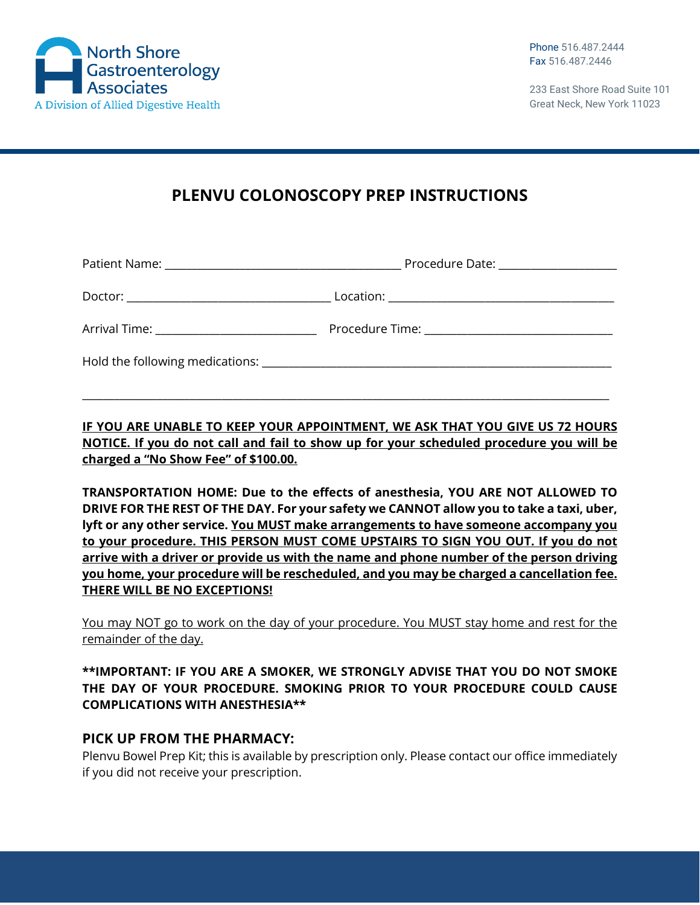

233 East Shore Road Suite 101 Great Neck, New York 11023

# **PLENVU COLONOSCOPY PREP INSTRUCTIONS**

|                                                                                                                                                                                                                                | Procedure Date: _____________________ |
|--------------------------------------------------------------------------------------------------------------------------------------------------------------------------------------------------------------------------------|---------------------------------------|
|                                                                                                                                                                                                                                |                                       |
| Arrival Time: _______________________________                                                                                                                                                                                  |                                       |
| Hold the following medications: Notified the state of the state of the state of the state of the state of the state of the state of the state of the state of the state of the state of the state of the state of the state of |                                       |

**IF YOU ARE UNABLE TO KEEP YOUR APPOINTMENT, WE ASK THAT YOU GIVE US 72 HOURS NOTICE. If you do not call and fail to show up for your scheduled procedure you will be charged a "No Show Fee" of \$100.00.**

\_\_\_\_\_\_\_\_\_\_\_\_\_\_\_\_\_\_\_\_\_\_\_\_\_\_\_\_\_\_\_\_\_\_\_\_\_\_\_\_\_\_\_\_\_\_\_\_\_\_\_\_\_\_\_\_\_\_\_\_\_\_\_\_\_\_\_\_\_\_\_\_\_\_\_\_\_\_\_\_\_\_\_\_\_\_\_\_\_\_\_\_\_\_\_\_\_\_

**TRANSPORTATION HOME: Due to the effects of anesthesia, YOU ARE NOT ALLOWED TO DRIVE FOR THE REST OF THE DAY. For your safety we CANNOT allow you to take a taxi, uber, lyft or any other service. You MUST make arrangements to have someone accompany you to your procedure. THIS PERSON MUST COME UPSTAIRS TO SIGN YOU OUT. If you do not arrive with a driver or provide us with the name and phone number of the person driving you home, your procedure will be rescheduled, and you may be charged a cancellation fee. THERE WILL BE NO EXCEPTIONS!**

You may NOT go to work on the day of your procedure. You MUST stay home and rest for the remainder of the day.

#### **\*\*IMPORTANT: IF YOU ARE A SMOKER, WE STRONGLY ADVISE THAT YOU DO NOT SMOKE THE DAY OF YOUR PROCEDURE. SMOKING PRIOR TO YOUR PROCEDURE COULD CAUSE COMPLICATIONS WITH ANESTHESIA\*\***

# **PICK UP FROM THE PHARMACY:**

Plenvu Bowel Prep Kit; this is available by prescription only. Please contact our office immediately if you did not receive your prescription.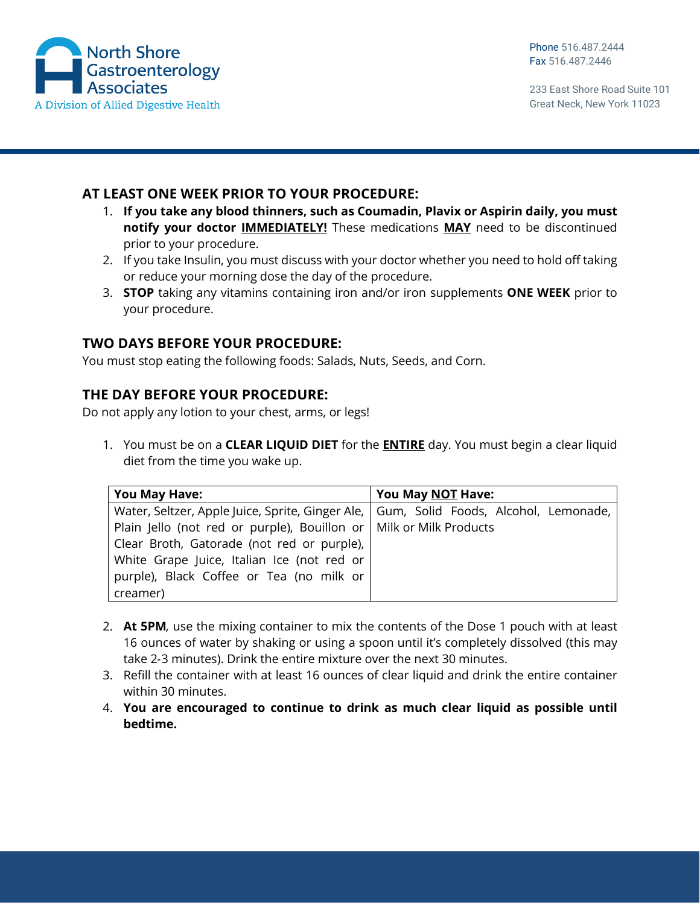

233 East Shore Road Suite 101 Great Neck, New York 11023

### **AT LEAST ONE WEEK PRIOR TO YOUR PROCEDURE:**

- 1. **If you take any blood thinners, such as Coumadin, Plavix or Aspirin daily, you must notify your doctor IMMEDIATELY!** These medications **MAY** need to be discontinued prior to your procedure.
- 2. If you take Insulin, you must discuss with your doctor whether you need to hold off taking or reduce your morning dose the day of the procedure.
- 3. **STOP** taking any vitamins containing iron and/or iron supplements **ONE WEEK** prior to your procedure.

# **TWO DAYS BEFORE YOUR PROCEDURE:**

You must stop eating the following foods: Salads, Nuts, Seeds, and Corn.

#### **THE DAY BEFORE YOUR PROCEDURE:**

Do not apply any lotion to your chest, arms, or legs!

1. You must be on a **CLEAR LIQUID DIET** for the **ENTIRE** day. You must begin a clear liquid diet from the time you wake up.

| <b>You May Have:</b>                                                                    | You May NOT Have: |
|-----------------------------------------------------------------------------------------|-------------------|
| Water, Seltzer, Apple Juice, Sprite, Ginger Ale,   Gum, Solid Foods, Alcohol, Lemonade, |                   |
| Plain Jello (not red or purple), Bouillon or   Milk or Milk Products                    |                   |
| Clear Broth, Gatorade (not red or purple),                                              |                   |
| White Grape Juice, Italian Ice (not red or                                              |                   |
| purple), Black Coffee or Tea (no milk or                                                |                   |
| creamer)                                                                                |                   |

- 2. **At 5PM***,* use the mixing container to mix the contents of the Dose 1 pouch with at least 16 ounces of water by shaking or using a spoon until it's completely dissolved (this may take 2‐3 minutes). Drink the entire mixture over the next 30 minutes.
- 3. Refill the container with at least 16 ounces of clear liquid and drink the entire container within 30 minutes.
- 4. **You are encouraged to continue to drink as much clear liquid as possible until bedtime.**